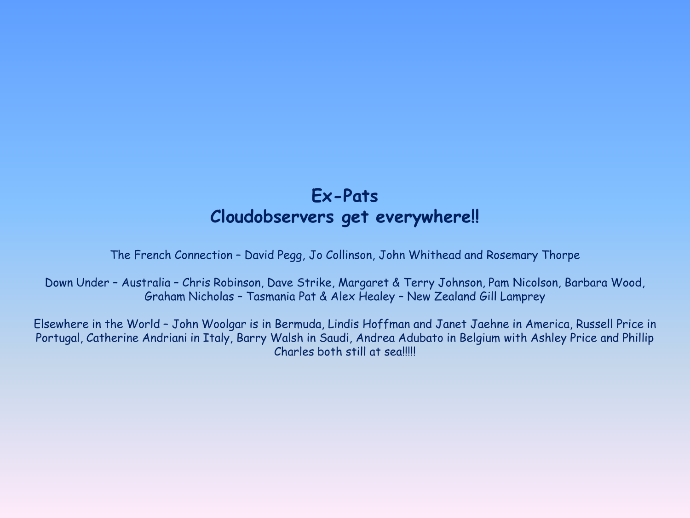## **Ex-Pats Cloudobservers get everywhere!!**

The French Connection – David Pegg, Jo Collinson, John Whithead and Rosemary Thorpe

Down Under – Australia – Chris Robinson, Dave Strike, Margaret & Terry Johnson, Pam Nicolson, Barbara Wood, Graham Nicholas – Tasmania Pat & Alex Healey – New Zealand Gill Lamprey

Elsewhere in the World – John Woolgar is in Bermuda, Lindis Hoffman and Janet Jaehne in America, Russell Price in Portugal, Catherine Andriani in Italy, Barry Walsh in Saudi, Andrea Adubato in Belgium with Ashley Price and Phillip Charles both still at sea!!!!!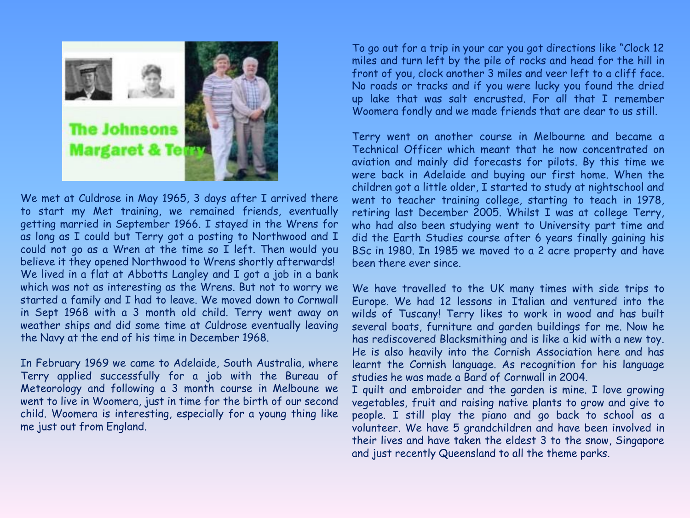

We met at Culdrose in May 1965, 3 days after I arrived there to start my Met training, we remained friends, eventually getting married in September 1966. I stayed in the Wrens for as long as I could but Terry got a posting to Northwood and I could not go as a Wren at the time so I left. Then would you believe it they opened Northwood to Wrens shortly afterwards! We lived in a flat at Abbotts Langley and I got a job in a bank which was not as interesting as the Wrens. But not to worry we started a family and I had to leave. We moved down to Cornwall in Sept 1968 with a 3 month old child. Terry went away on weather ships and did some time at Culdrose eventually leaving the Navy at the end of his time in December 1968.

In February 1969 we came to Adelaide, South Australia, where Terry applied successfully for a job with the Bureau of Meteorology and following a 3 month course in Melboune we went to live in Woomera, just in time for the birth of our second child. Woomera is interesting, especially for a young thing like me just out from England.

To go out for a trip in your car you got directions like "Clock 12 miles and turn left by the pile of rocks and head for the hill in front of you, clock another 3 miles and veer left to a cliff face. No roads or tracks and if you were lucky you found the dried up lake that was salt encrusted. For all that I remember Woomera fondly and we made friends that are dear to us still.

Terry went on another course in Melbourne and became a Technical Officer which meant that he now concentrated on aviation and mainly did forecasts for pilots. By this time we were back in Adelaide and buying our first home. When the children got a little older, I started to study at nightschool and went to teacher training college, starting to teach in 1978, retiring last December 2005. Whilst I was at college Terry, who had also been studying went to University part time and did the Earth Studies course after 6 years finally gaining his BSc in 1980. In 1985 we moved to a 2 acre property and have been there ever since.

We have travelled to the UK many times with side trips to Europe. We had 12 lessons in Italian and ventured into the wilds of Tuscany! Terry likes to work in wood and has built several boats, furniture and garden buildings for me. Now he has rediscovered Blacksmithing and is like a kid with a new toy. He is also heavily into the Cornish Association here and has learnt the Cornish language. As recognition for his language studies he was made a Bard of Cornwall in 2004.

I quilt and embroider and the garden is mine. I love growing vegetables, fruit and raising native plants to grow and give to people. I still play the piano and go back to school as a volunteer. We have 5 grandchildren and have been involved in their lives and have taken the eldest 3 to the snow, Singapore and just recently Queensland to all the theme parks.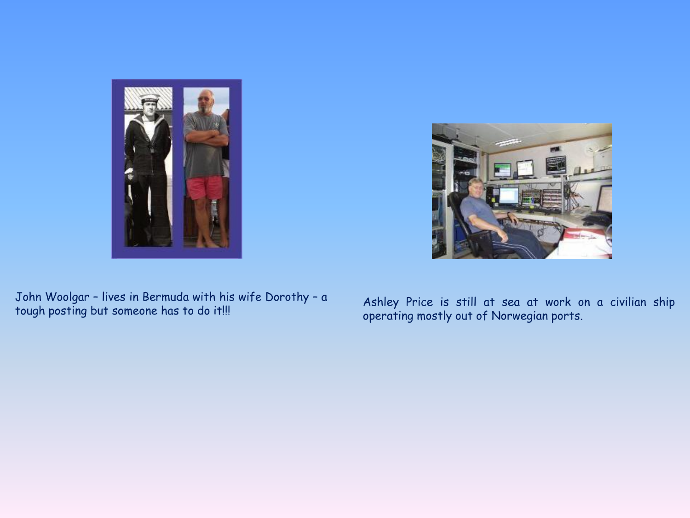

John Woolgar – lives in Bermuda with his wife Dorothy – a and a shley Price is still at sea at work on a civilian ship<br>tough posting but someone has to do it!!!

operating mostly out of Norwegian ports.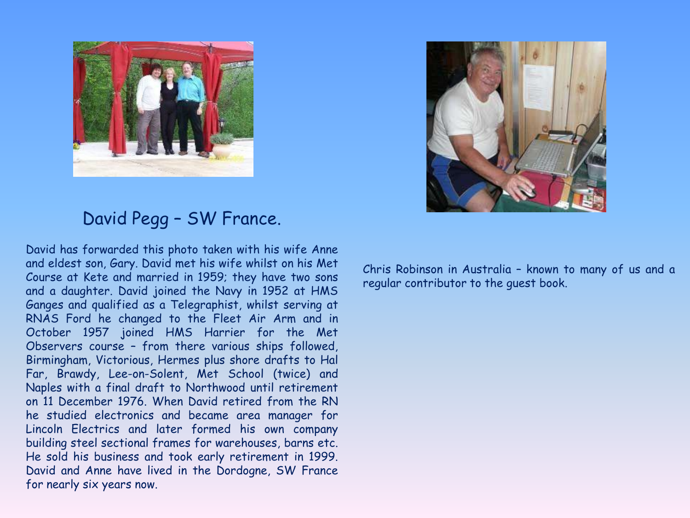



## David Pegg – SW France.

David has forwarded this photo taken with his wife Anne and eldest son, Gary. David met his wife whilst on his Met Course at Kete and married in 1959; they have two sons and a daughter. David joined the Navy in 1952 at HMS Ganges and qualified as a Telegraphist, whilst serving at RNAS Ford he changed to the Fleet Air Arm and in October 1957 joined HMS Harrier for the Met Observers course – from there various ships followed, Birmingham, Victorious, Hermes plus shore drafts to Hal Far, Brawdy, Lee-on-Solent, Met School (twice) and Naples with a final draft to Northwood until retirement on 11 December 1976. When David retired from the RN he studied electronics and became area manager for Lincoln Electrics and later formed his own company building steel sectional frames for warehouses, barns etc. He sold his business and took early retirement in 1999. David and Anne have lived in the Dordogne, SW France for nearly six years now.

Chris Robinson in Australia – known to many of us and a regular contributor to the guest book.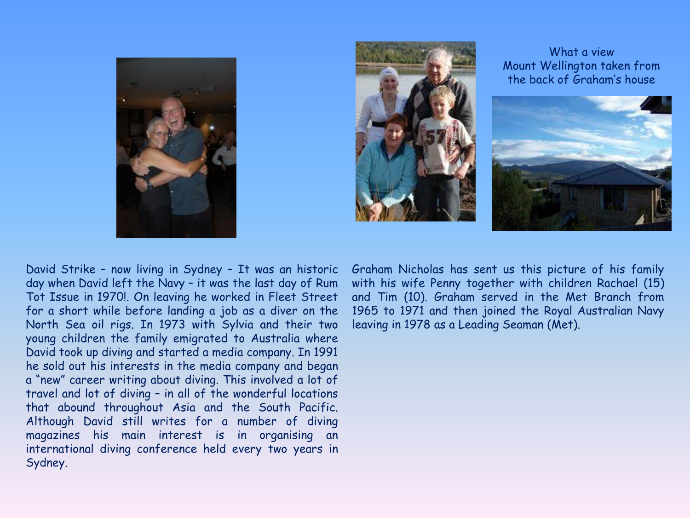



What a view Mount Wellington taken from the back of Graham's house



David Strike – now living in Sydney – It was an historic day when David left the Navy – it was the last day of Rum Tot Issue in 1970!. On leaving he worked in Fleet Street for a short while before landing a job as a diver on the North Sea oil rigs. In 1973 with Sylvia and their two young children the family emigrated to Australia where David took up diving and started a media company. In 1991 he sold out his interests in the media company and began a "new" career writing about diving. This involved a lot of travel and lot of diving – in all of the wonderful locations that abound throughout Asia and the South Pacific. Although David still writes for a number of diving magazines his main interest is in organising an international diving conference held every two years in Sydney.

Graham Nicholas has sent us this picture of his family with his wife Penny together with children Rachael (15) and Tim (10). Graham served in the Met Branch from 1965 to 1971 and then joined the Royal Australian Navy leaving in 1978 as a Leading Seaman (Met).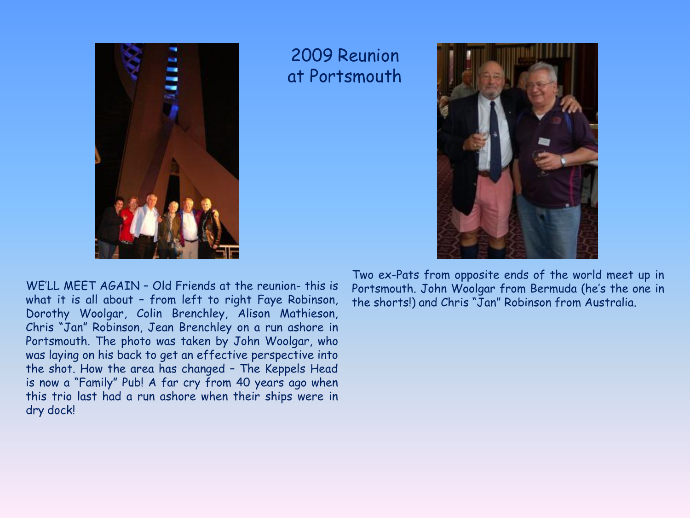

## 2009 Reunion at Portsmouth



WE'LL MEET AGAIN – Old Friends at the reunion- this is what it is all about – from left to right Faye Robinson, Dorothy Woolgar, Colin Brenchley, Alison Mathieson, Chris "Jan" Robinson, Jean Brenchley on a run ashore in Portsmouth. The photo was taken by John Woolgar, who was laying on his back to get an effective perspective into the shot. How the area has changed – The Keppels Head is now a "Family" Pub! A far cry from 40 years ago when this trio last had a run ashore when their ships were in dry dock!

Two ex-Pats from opposite ends of the world meet up in Portsmouth. John Woolgar from Bermuda (he's the one in the shorts!) and Chris "Jan" Robinson from Australia.